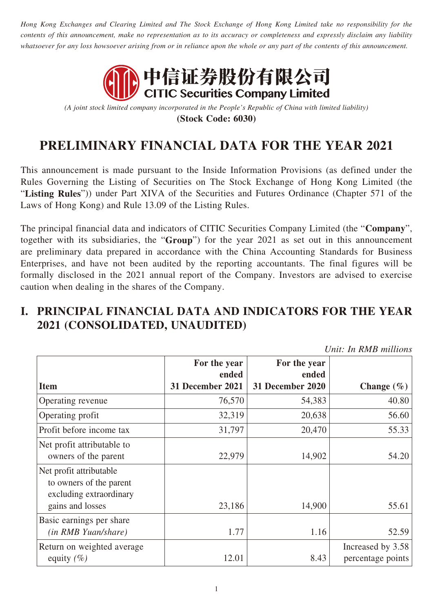*Hong Kong Exchanges and Clearing Limited and The Stock Exchange of Hong Kong Limited take no responsibility for the contents of this announcement, make no representation as to its accuracy or completeness and expressly disclaim any liability whatsoever for any loss howsoever arising from or in reliance upon the whole or any part of the contents of this announcement.*



*(A joint stock limited company incorporated in the People's Republic of China with limited liability)* **(Stock Code: 6030)**

# **PRELIMINARY FINANCIAL DATA FOR THE YEAR 2021**

This announcement is made pursuant to the Inside Information Provisions (as defined under the Rules Governing the Listing of Securities on The Stock Exchange of Hong Kong Limited (the "**Listing Rules**")) under Part XIVA of the Securities and Futures Ordinance (Chapter 571 of the Laws of Hong Kong) and Rule 13.09 of the Listing Rules.

The principal financial data and indicators of CITIC Securities Company Limited (the "**Company**", together with its subsidiaries, the "**Group**") for the year 2021 as set out in this announcement are preliminary data prepared in accordance with the China Accounting Standards for Business Enterprises, and have not been audited by the reporting accountants. The final figures will be formally disclosed in the 2021 annual report of the Company. Investors are advised to exercise caution when dealing in the shares of the Company.

#### **I. PRINCIPAL FINANCIAL DATA AND INDICATORS FOR THE YEAR 2021 (CONSOLIDATED, UNAUDITED)**

*Unit: In RMB millions*

|                                                                               | For the year<br>ended | For the year<br>ended |                                        |
|-------------------------------------------------------------------------------|-----------------------|-----------------------|----------------------------------------|
| <b>Item</b>                                                                   | 31 December 2021      | 31 December 2020      | Change $(\% )$                         |
| Operating revenue                                                             | 76,570                | 54,383                | 40.80                                  |
| Operating profit                                                              | 32,319                | 20,638                | 56.60                                  |
| Profit before income tax                                                      | 31,797                | 20,470                | 55.33                                  |
| Net profit attributable to<br>owners of the parent                            | 22,979                | 14,902                | 54.20                                  |
| Net profit attributable<br>to owners of the parent<br>excluding extraordinary |                       |                       |                                        |
| gains and losses                                                              | 23,186                | 14,900                | 55.61                                  |
| Basic earnings per share<br>(in RMB Yuan/share)                               | 1.77                  | 1.16                  | 52.59                                  |
| Return on weighted average<br>equity $(\% )$                                  | 12.01                 | 8.43                  | Increased by 3.58<br>percentage points |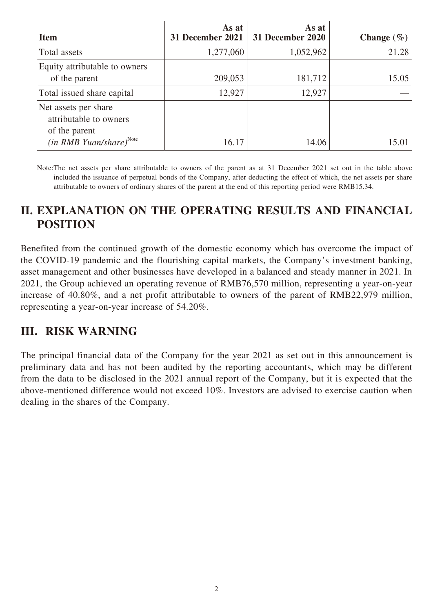| <b>Item</b>                                                                                     | As at<br>31 December 2021 | As at<br>31 December 2020 | Change $(\% )$ |
|-------------------------------------------------------------------------------------------------|---------------------------|---------------------------|----------------|
| Total assets                                                                                    | 1,277,060                 | 1,052,962                 | 21.28          |
| Equity attributable to owners<br>of the parent<br>Total issued share capital                    | 209,053<br>12,927         | 181,712<br>12,927         | 15.05          |
| Net assets per share<br>attributable to owners<br>of the parent<br>$(in RMB Yuan/share)^{Note}$ | 16.17                     | 14.06                     | 15.01          |

Note:The net assets per share attributable to owners of the parent as at 31 December 2021 set out in the table above included the issuance of perpetual bonds of the Company, after deducting the effect of which, the net assets per share attributable to owners of ordinary shares of the parent at the end of this reporting period were RMB15.34.

## **II. EXPLANATION ON THE OPERATING RESULTS AND FINANCIAL POSITION**

Benefited from the continued growth of the domestic economy which has overcome the impact of the COVID-19 pandemic and the flourishing capital markets, the Company's investment banking, asset management and other businesses have developed in a balanced and steady manner in 2021. In 2021, the Group achieved an operating revenue of RMB76,570 million, representing a year-on-year increase of 40.80%, and a net profit attributable to owners of the parent of RMB22,979 million, representing a year-on-year increase of 54.20%.

#### **III. RISK WARNING**

The principal financial data of the Company for the year 2021 as set out in this announcement is preliminary data and has not been audited by the reporting accountants, which may be different from the data to be disclosed in the 2021 annual report of the Company, but it is expected that the above-mentioned difference would not exceed 10%. Investors are advised to exercise caution when dealing in the shares of the Company.